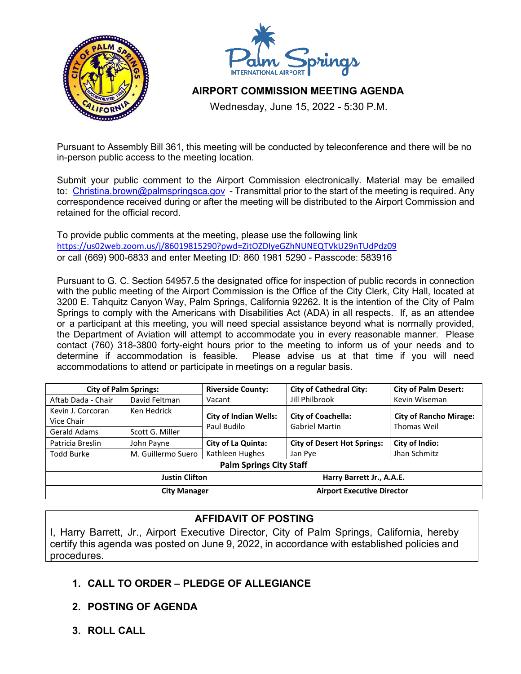



## **AIRPORT COMMISSION MEETING AGENDA**

Wednesday, June 15, 2022 - 5:30 P.M.

Pursuant to Assembly Bill 361, this meeting will be conducted by teleconference and there will be no in-person public access to the meeting location.

Submit your public comment to the Airport Commission electronically. Material may be emailed to: [Christina.brown@palmspringsca.gov](mailto:Christina.brown@palmspringsca.gov) - Transmittal prior to the start of the meeting is required. Any correspondence received during or after the meeting will be distributed to the Airport Commission and retained for the official record.

To provide public comments at the meeting, please use the following link <https://us02web.zoom.us/j/86019815290?pwd=ZitOZDIyeGZhNUNEQTVkU29nTUdPdz09> or call (669) 900-6833 and enter Meeting ID: 860 1981 5290 - Passcode: 583916

Pursuant to G. C. Section 54957.5 the designated office for inspection of public records in connection with the public meeting of the Airport Commission is the Office of the City Clerk, City Hall, located at 3200 E. Tahquitz Canyon Way, Palm Springs, California 92262. It is the intention of the City of Palm Springs to comply with the Americans with Disabilities Act (ADA) in all respects. If, as an attendee or a participant at this meeting, you will need special assistance beyond what is normally provided, the Department of Aviation will attempt to accommodate you in every reasonable manner. Please contact (760) 318-3800 forty-eight hours prior to the meeting to inform us of your needs and to Please advise us at that time if you will need accommodations to attend or participate in meetings on a regular basis.

| <b>City of Palm Springs:</b>   |                    | <b>Riverside County:</b>          | <b>City of Cathedral City:</b>     | <b>City of Palm Desert:</b>   |
|--------------------------------|--------------------|-----------------------------------|------------------------------------|-------------------------------|
| Aftab Dada - Chair             | David Feltman      | Vacant                            | Jill Philbrook                     | Kevin Wiseman                 |
| Kevin J. Corcoran              | Ken Hedrick        | <b>City of Indian Wells:</b>      | <b>City of Coachella:</b>          | <b>City of Rancho Mirage:</b> |
| Vice Chair                     |                    | Paul Budilo                       | <b>Gabriel Martin</b>              | Thomas Weil                   |
| Gerald Adams                   | Scott G. Miller    |                                   |                                    |                               |
| Patricia Breslin               | John Payne         | <b>City of La Quinta:</b>         | <b>City of Desert Hot Springs:</b> | City of Indio:                |
| Todd Burke                     | M. Guillermo Suero | Kathleen Hughes                   | Jan Pye                            | Jhan Schmitz                  |
| <b>Palm Springs City Staff</b> |                    |                                   |                                    |                               |
| <b>Justin Clifton</b>          |                    | Harry Barrett Jr., A.A.E.         |                                    |                               |
| <b>City Manager</b>            |                    | <b>Airport Executive Director</b> |                                    |                               |

## **AFFIDAVIT OF POSTING**

I, Harry Barrett, Jr., Airport Executive Director, City of Palm Springs, California, hereby certify this agenda was posted on June 9, 2022, in accordance with established policies and procedures.

## **1. CALL TO ORDER – PLEDGE OF ALLEGIANCE**

- **2. POSTING OF AGENDA**
- **3. ROLL CALL**